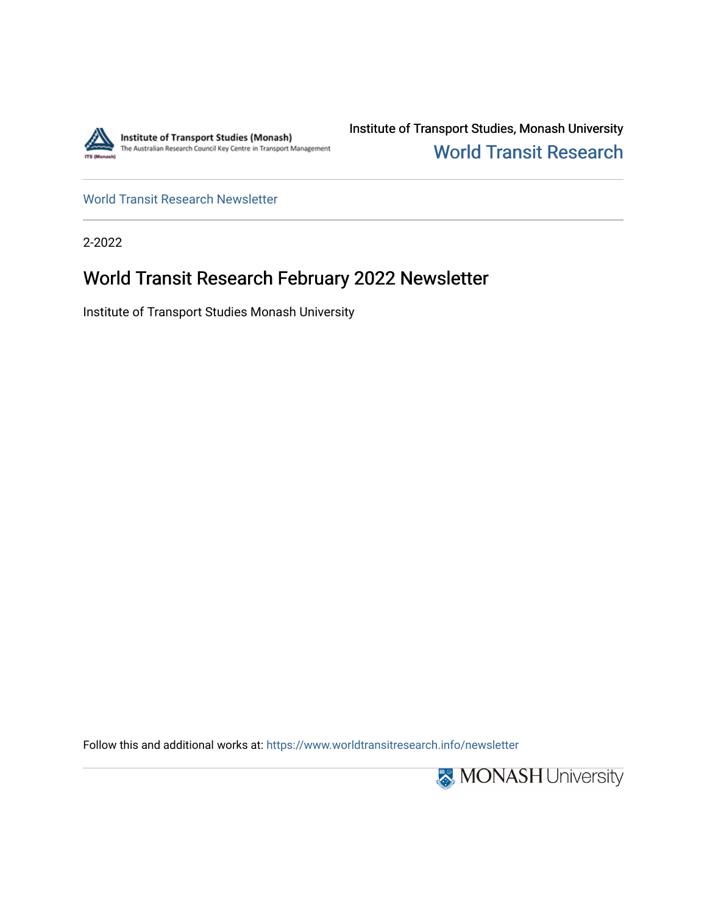

Institute of Transport Studies, Monash University [World Transit Research](https://www.worldtransitresearch.info/) 

[World Transit Research Newsletter](https://www.worldtransitresearch.info/newsletter) 

2-2022

## World Transit Research February 2022 Newsletter

Institute of Transport Studies Monash University

Follow this and additional works at: [https://www.worldtransitresearch.info/newsletter](https://www.worldtransitresearch.info/newsletter?utm_source=www.worldtransitresearch.info%2Fnewsletter%2F70&utm_medium=PDF&utm_campaign=PDFCoverPages) 

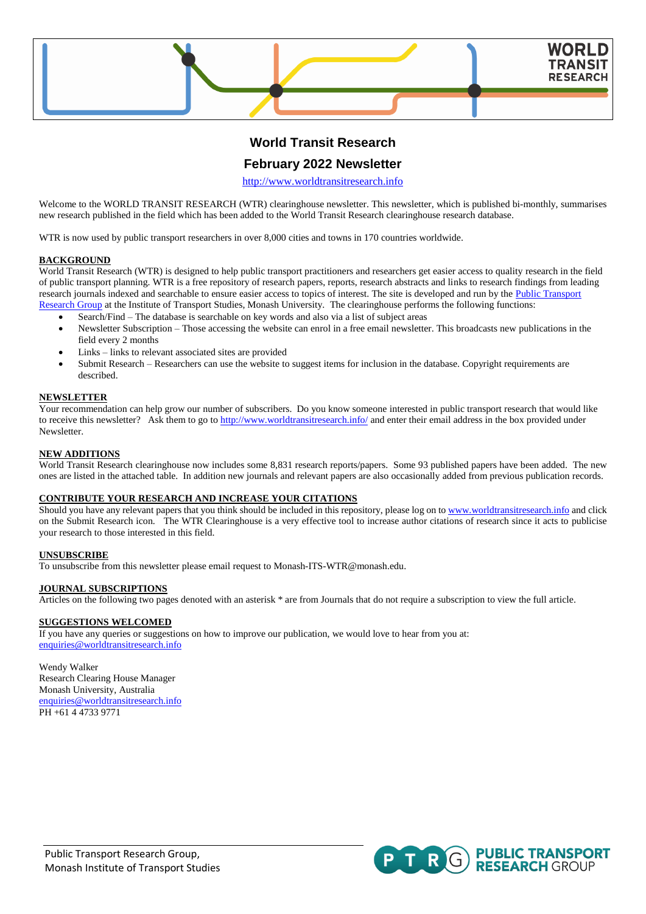

## **World Transit Research**

### **February 2022 Newsletter**

[http://www.worldtransitresearch.info](http://www.worldtransitresearch.info/)

Welcome to the WORLD TRANSIT RESEARCH (WTR) clearinghouse newsletter. This newsletter, which is published bi-monthly, summarises new research published in the field which has been added to the World Transit Research clearinghouse research database.

WTR is now used by public transport researchers in over 8,000 cities and towns in 170 countries worldwide.

#### **BACKGROUND**

World Transit Research (WTR) is designed to help public transport practitioners and researchers get easier access to quality research in the field of public transport planning. WTR is a free repository of research papers, reports, research abstracts and links to research findings from leading research journals indexed and searchable to ensure easier access to topics of interest. The site is developed and run by the Public Transport [Research Group](http://publictransportresearchgroup.info/) at the Institute of Transport Studies, Monash University. The clearinghouse performs the following functions:

- Search/Find The database is searchable on key words and also via a list of subject areas
- Newsletter Subscription Those accessing the website can enrol in a free email newsletter. This broadcasts new publications in the field every 2 months
- Links links to relevant associated sites are provided
- Submit Research Researchers can use the website to suggest items for inclusion in the database. Copyright requirements are described.

#### **NEWSLETTER**

Your recommendation can help grow our number of subscribers. Do you know someone interested in public transport research that would like to receive this newsletter? Ask them to go to<http://www.worldtransitresearch.info/> and enter their email address in the box provided under Newsletter.

#### **NEW ADDITIONS**

World Transit Research clearinghouse now includes some 8,831 research reports/papers. Some 93 published papers have been added. The new ones are listed in the attached table. In addition new journals and relevant papers are also occasionally added from previous publication records.

#### **CONTRIBUTE YOUR RESEARCH AND INCREASE YOUR CITATIONS**

Should you have any relevant papers that you think should be included in this repository, please log on t[o www.worldtransitresearch.info](http://www.worldtransitresearch.info/) and click on the Submit Research icon. The WTR Clearinghouse is a very effective tool to increase author citations of research since it acts to publicise your research to those interested in this field.

#### **UNSUBSCRIBE**

To unsubscribe from this newsletter please email request to Monash-ITS-WTR@monash.edu.

#### **JOURNAL SUBSCRIPTIONS**

Articles on the following two pages denoted with an asterisk \* are from Journals that do not require a subscription to view the full article.

#### **SUGGESTIONS WELCOMED**

If you have any queries or suggestions on how to improve our publication, we would love to hear from you at: [enquiries@worldtransitresearch.info](mailto:enquiries@worldtransitresearch.info)

Wendy Walker Research Clearing House Manager Monash University, Australia [enquiries@worldtransitresearch.info](mailto:enquiries@worldtransitresearch.info) PH +61 4 4733 9771

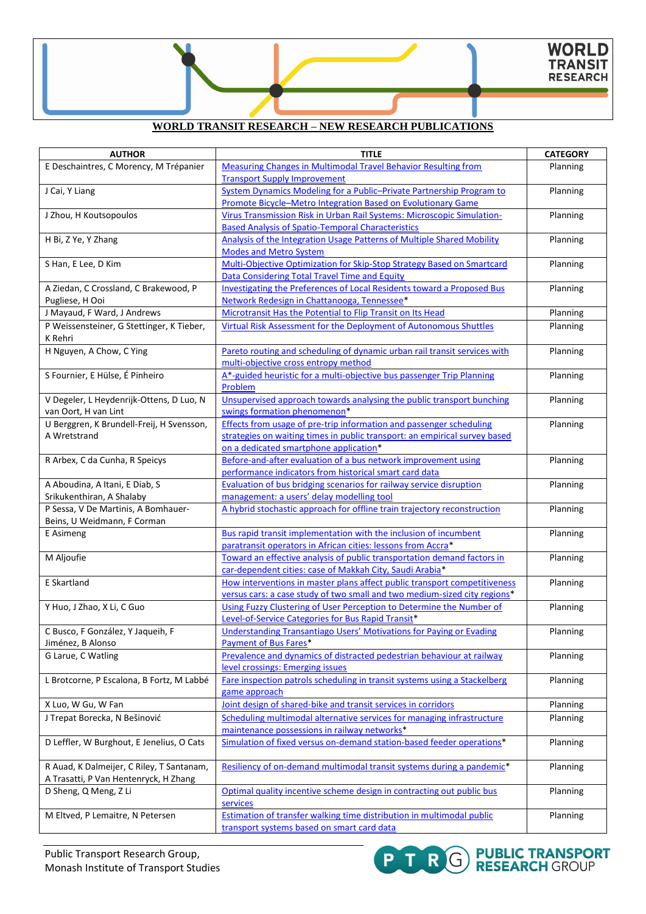**PTRG** PUBLIC TRANSPORT

### **WORLD TRANSIT RESEARCH – NEW RESEARCH PUBLICATIONS**

| <b>AUTHOR</b>                                                                      | <b>TITLE</b>                                                                  | <b>CATEGORY</b> |
|------------------------------------------------------------------------------------|-------------------------------------------------------------------------------|-----------------|
| E Deschaintres, C Morency, M Trépanier                                             | <b>Measuring Changes in Multimodal Travel Behavior Resulting from</b>         | Planning        |
|                                                                                    | <b>Transport Supply Improvement</b>                                           |                 |
| J Cai, Y Liang                                                                     | System Dynamics Modeling for a Public-Private Partnership Program to          | Planning        |
|                                                                                    | Promote Bicycle-Metro Integration Based on Evolutionary Game                  |                 |
| J Zhou, H Koutsopoulos                                                             | Virus Transmission Risk in Urban Rail Systems: Microscopic Simulation-        | Planning        |
|                                                                                    | <b>Based Analysis of Spatio-Temporal Characteristics</b>                      |                 |
| H Bi, Z Ye, Y Zhang                                                                | Analysis of the Integration Usage Patterns of Multiple Shared Mobility        | Planning        |
|                                                                                    | <b>Modes and Metro System</b>                                                 |                 |
| S Han, E Lee, D Kim                                                                | Multi-Objective Optimization for Skip-Stop Strategy Based on Smartcard        | Planning        |
|                                                                                    | Data Considering Total Travel Time and Equity                                 |                 |
| A Ziedan, C Crossland, C Brakewood, P                                              | <b>Investigating the Preferences of Local Residents toward a Proposed Bus</b> | Planning        |
| Pugliese, H Ooi                                                                    | Network Redesign in Chattanooga, Tennessee*                                   |                 |
| J Mayaud, F Ward, J Andrews                                                        | Microtransit Has the Potential to Flip Transit on Its Head                    | Planning        |
| P Weissensteiner, G Stettinger, K Tieber,                                          | Virtual Risk Assessment for the Deployment of Autonomous Shuttles             | Planning        |
| K Rehri                                                                            |                                                                               |                 |
| H Nguyen, A Chow, C Ying                                                           | Pareto routing and scheduling of dynamic urban rail transit services with     | Planning        |
|                                                                                    | multi-objective cross entropy method                                          |                 |
| S Fournier, E Hülse, É Pinheiro                                                    | A*-guided heuristic for a multi-objective bus passenger Trip Planning         | Planning        |
|                                                                                    | Problem                                                                       |                 |
| V Degeler, L Heydenrijk-Ottens, D Luo, N                                           | Unsupervised approach towards analysing the public transport bunching         | Planning        |
| van Oort, H van Lint                                                               | swings formation phenomenon*                                                  |                 |
| U Berggren, K Brundell-Freij, H Svensson,                                          | Effects from usage of pre-trip information and passenger scheduling           | Planning        |
| A Wretstrand                                                                       | strategies on waiting times in public transport: an empirical survey based    |                 |
|                                                                                    | on a dedicated smartphone application*                                        |                 |
| R Arbex, C da Cunha, R Speicys                                                     | Before-and-after evaluation of a bus network improvement using                | Planning        |
|                                                                                    | performance indicators from historical smart card data                        |                 |
| A Aboudina, A Itani, E Diab, S                                                     | Evaluation of bus bridging scenarios for railway service disruption           | Planning        |
| Srikukenthiran, A Shalaby                                                          | management: a users' delay modelling tool                                     |                 |
| P Sessa, V De Martinis, A Bomhauer-                                                | A hybrid stochastic approach for offline train trajectory reconstruction      | Planning        |
| Beins, U Weidmann, F Corman                                                        |                                                                               |                 |
| E Asimeng                                                                          | Bus rapid transit implementation with the inclusion of incumbent              | Planning        |
|                                                                                    | paratransit operators in African cities: lessons from Accra*                  |                 |
| M Aljoufie                                                                         | Toward an effective analysis of public transportation demand factors in       | Planning        |
|                                                                                    | car-dependent cities: case of Makkah City, Saudi Arabia*                      |                 |
| E Skartland                                                                        | How interventions in master plans affect public transport competitiveness     | Planning        |
|                                                                                    | versus cars: a case study of two small and two medium-sized city regions*     |                 |
| Y Huo, J Zhao, X Li, C Guo                                                         | Using Fuzzy Clustering of User Perception to Determine the Number of          | Planning        |
|                                                                                    | Level-of-Service Categories for Bus Rapid Transit*                            |                 |
| C Busco, F González, Y Jaqueih, F                                                  | Understanding Transantiago Users' Motivations for Paving or Evading           | Planning        |
| Jiménez, B Alonso                                                                  | Payment of Bus Fares*                                                         |                 |
| G Larue, C Watling                                                                 | Prevalence and dynamics of distracted pedestrian behaviour at railway         | Planning        |
|                                                                                    | level crossings: Emerging issues                                              |                 |
| L Brotcorne, P Escalona, B Fortz, M Labbé                                          | Fare inspection patrols scheduling in transit systems using a Stackelberg     | Planning        |
|                                                                                    | game approach                                                                 |                 |
| X Luo, W Gu, W Fan                                                                 | Joint design of shared-bike and transit services in corridors                 | Planning        |
| J Trepat Borecka, N Bešinović                                                      | Scheduling multimodal alternative services for managing infrastructure        | Planning        |
|                                                                                    | maintenance possessions in railway networks*                                  |                 |
| D Leffler, W Burghout, E Jenelius, O Cats                                          | Simulation of fixed versus on-demand station-based feeder operations*         | Planning        |
|                                                                                    |                                                                               |                 |
|                                                                                    | Resiliency of on-demand multimodal transit systems during a pandemic*         | Planning        |
| R Auad, K Dalmeijer, C Riley, T Santanam,<br>A Trasatti, P Van Hentenryck, H Zhang |                                                                               |                 |
| D Sheng, Q Meng, Z Li                                                              | Optimal quality incentive scheme design in contracting out public bus         | Planning        |
|                                                                                    | services                                                                      |                 |
| M Eltved, P Lemaitre, N Petersen                                                   | <b>Estimation of transfer walking time distribution in multimodal public</b>  | Planning        |
|                                                                                    | transport systems based on smart card data                                    |                 |
|                                                                                    |                                                                               |                 |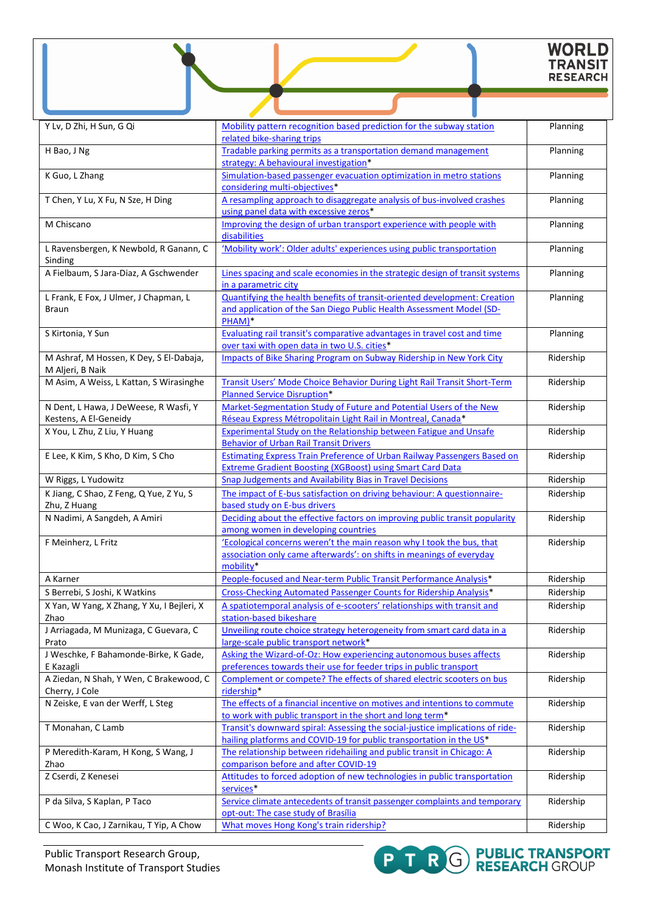# WORLD<br>TRANSIT<br>RESEARCH

| Y Lv, D Zhi, H Sun, G Qi                                       | Mobility pattern recognition based prediction for the subway station<br>related bike-sharing trips                                                          | Planning  |
|----------------------------------------------------------------|-------------------------------------------------------------------------------------------------------------------------------------------------------------|-----------|
| H Bao, J Ng                                                    | Tradable parking permits as a transportation demand management<br>strategy: A behavioural investigation*                                                    | Planning  |
| K Guo, L Zhang                                                 | Simulation-based passenger evacuation optimization in metro stations<br>considering multi-objectives*                                                       | Planning  |
| T Chen, Y Lu, X Fu, N Sze, H Ding                              | A resampling approach to disaggregate analysis of bus-involved crashes<br>using panel data with excessive zeros*                                            | Planning  |
| M Chiscano                                                     | Improving the design of urban transport experience with people with<br>disabilities                                                                         | Planning  |
| L Ravensbergen, K Newbold, R Ganann, C<br>Sinding              | 'Mobility work': Older adults' experiences using public transportation                                                                                      | Planning  |
| A Fielbaum, S Jara-Diaz, A Gschwender                          | Lines spacing and scale economies in the strategic design of transit systems<br>in a parametric city                                                        | Planning  |
| L Frank, E Fox, J Ulmer, J Chapman, L<br>Braun                 | Quantifying the health benefits of transit-oriented development: Creation<br>and application of the San Diego Public Health Assessment Model (SD-<br>PHAM)* | Planning  |
| S Kirtonia, Y Sun                                              | Evaluating rail transit's comparative advantages in travel cost and time<br>over taxi with open data in two U.S. cities*                                    | Planning  |
| M Ashraf, M Hossen, K Dey, S El-Dabaja,<br>M Aljeri, B Naik    | <b>Impacts of Bike Sharing Program on Subway Ridership in New York City</b>                                                                                 | Ridership |
| M Asim, A Weiss, L Kattan, S Wirasinghe                        | Transit Users' Mode Choice Behavior During Light Rail Transit Short-Term<br><b>Planned Service Disruption*</b>                                              | Ridership |
| N Dent, L Hawa, J DeWeese, R Wasfi, Y<br>Kestens, A El-Geneidy | Market-Segmentation Study of Future and Potential Users of the New<br>Réseau Express Métropolitain Light Rail in Montreal, Canada*                          | Ridership |
| X You, L Zhu, Z Liu, Y Huang                                   | <b>Experimental Study on the Relationship between Fatigue and Unsafe</b><br><b>Behavior of Urban Rail Transit Drivers</b>                                   | Ridership |
| E Lee, K Kim, S Kho, D Kim, S Cho                              | <b>Estimating Express Train Preference of Urban Railway Passengers Based on</b><br><b>Extreme Gradient Boosting (XGBoost) using Smart Card Data</b>         | Ridership |
| W Riggs, L Yudowitz                                            | <b>Snap Judgements and Availability Bias in Travel Decisions</b>                                                                                            | Ridership |
| K Jiang, C Shao, Z Feng, Q Yue, Z Yu, S<br>Zhu, Z Huang        | The impact of E-bus satisfaction on driving behaviour: A questionnaire-<br>based study on E-bus drivers                                                     | Ridership |
| N Nadimi, A Sangdeh, A Amiri                                   | Deciding about the effective factors on improving public transit popularity<br>among women in developing countries                                          | Ridership |
| F Meinherz, L Fritz                                            | 'Ecological concerns weren't the main reason why I took the bus, that<br>association only came afterwards': on shifts in meanings of everyday<br>mobility*  | Ridership |
| A Karner                                                       | People-focused and Near-term Public Transit Performance Analysis*                                                                                           | Ridership |
| S Berrebi, S Joshi, K Watkins                                  | Cross-Checking Automated Passenger Counts for Ridership Analysis*                                                                                           | Ridership |
| X Yan, W Yang, X Zhang, Y Xu, I Bejleri, X<br>Zhao             | A spatiotemporal analysis of e-scooters' relationships with transit and<br>station-based bikeshare                                                          | Ridership |
| J Arriagada, M Munizaga, C Guevara, C<br>Prato                 | Unveiling route choice strategy heterogeneity from smart card data in a<br>large-scale public transport network*                                            | Ridership |
| J Weschke, F Bahamonde-Birke, K Gade,<br>E Kazagli             | Asking the Wizard-of-Oz: How experiencing autonomous buses affects<br>preferences towards their use for feeder trips in public transport                    | Ridership |
| A Ziedan, N Shah, Y Wen, C Brakewood, C<br>Cherry, J Cole      | Complement or compete? The effects of shared electric scooters on bus<br>ridership*                                                                         | Ridership |
| N Zeiske, E van der Werff, L Steg                              | The effects of a financial incentive on motives and intentions to commute<br>to work with public transport in the short and long term*                      | Ridership |
| T Monahan, C Lamb                                              | Transit's downward spiral: Assessing the social-justice implications of ride-<br>hailing platforms and COVID-19 for public transportation in the US*        | Ridership |
| P Meredith-Karam, H Kong, S Wang, J<br>Zhao                    | The relationship between ridehailing and public transit in Chicago: A<br>comparison before and after COVID-19                                               | Ridership |
| Z Cserdi, Z Kenesei                                            | Attitudes to forced adoption of new technologies in public transportation<br>services*                                                                      | Ridership |
| P da Silva, S Kaplan, P Taco                                   | Service climate antecedents of transit passenger complaints and temporary<br>opt-out: The case study of Brasília                                            | Ridership |
| C Woo, K Cao, J Zarnikau, T Yip, A Chow                        | What moves Hong Kong's train ridership?                                                                                                                     | Ridership |

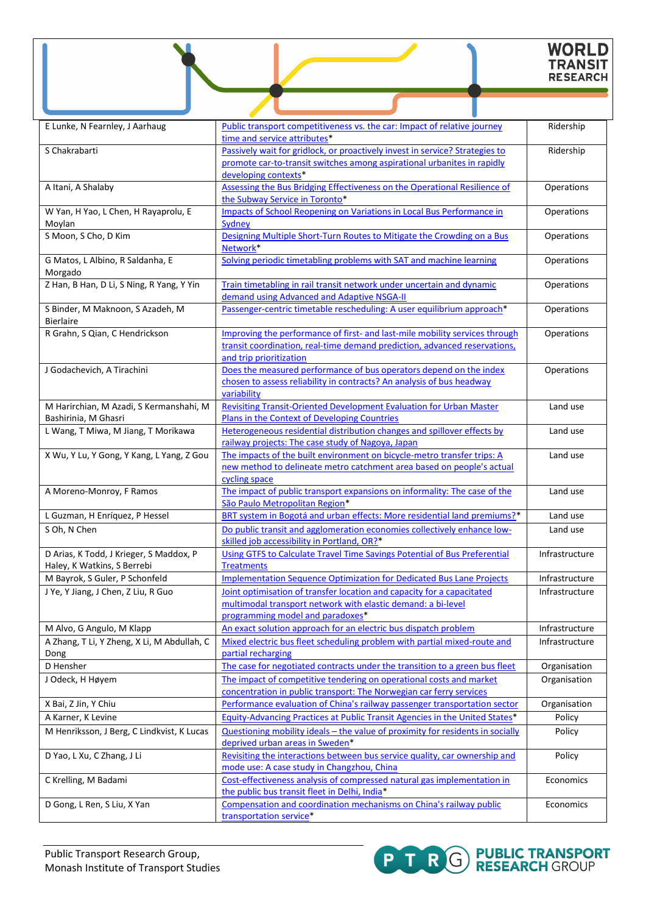# WORLD<br>TRANSIT<br>RESEARCH

| E Lunke, N Fearnley, J Aarhaug                       | Public transport competitiveness vs. the car: Impact of relative journey                                            | Ridership      |
|------------------------------------------------------|---------------------------------------------------------------------------------------------------------------------|----------------|
|                                                      | time and service attributes*                                                                                        |                |
| S Chakrabarti                                        | Passively wait for gridlock, or proactively invest in service? Strategies to                                        | Ridership      |
|                                                      | promote car-to-transit switches among aspirational urbanites in rapidly                                             |                |
|                                                      | developing contexts*                                                                                                |                |
| A Itani, A Shalaby                                   | Assessing the Bus Bridging Effectiveness on the Operational Resilience of                                           | Operations     |
|                                                      | the Subway Service in Toronto*                                                                                      |                |
| W Yan, H Yao, L Chen, H Rayaprolu, E                 | <b>Impacts of School Reopening on Variations in Local Bus Performance in</b>                                        | Operations     |
| Moylan                                               | Sydney                                                                                                              |                |
| S Moon, S Cho, D Kim                                 | Designing Multiple Short-Turn Routes to Mitigate the Crowding on a Bus<br>Network*                                  | Operations     |
| G Matos, L Albino, R Saldanha, E                     | Solving periodic timetabling problems with SAT and machine learning                                                 | Operations     |
| Morgado                                              |                                                                                                                     |                |
| Z Han, B Han, D Li, S Ning, R Yang, Y Yin            | Train timetabling in rail transit network under uncertain and dynamic                                               | Operations     |
|                                                      | demand using Advanced and Adaptive NSGA-II                                                                          |                |
| S Binder, M Maknoon, S Azadeh, M<br><b>Bierlaire</b> | Passenger-centric timetable rescheduling: A user equilibrium approach*                                              | Operations     |
| R Grahn, S Qian, C Hendrickson                       | Improving the performance of first- and last-mile mobility services through                                         | Operations     |
|                                                      | transit coordination, real-time demand prediction, advanced reservations,                                           |                |
|                                                      | and trip prioritization                                                                                             |                |
| J Godachevich, A Tirachini                           | Does the measured performance of bus operators depend on the index                                                  | Operations     |
|                                                      | chosen to assess reliability in contracts? An analysis of bus headway                                               |                |
|                                                      | variability                                                                                                         |                |
| M Harirchian, M Azadi, S Kermanshahi, M              | <b>Revisiting Transit-Oriented Development Evaluation for Urban Master</b>                                          | Land use       |
| Bashirinia, M Ghasri                                 | Plans in the Context of Developing Countries                                                                        |                |
| L Wang, T Miwa, M Jiang, T Morikawa                  | Heterogeneous residential distribution changes and spillover effects by                                             | Land use       |
|                                                      | railway projects: The case study of Nagoya, Japan                                                                   |                |
| X Wu, Y Lu, Y Gong, Y Kang, L Yang, Z Gou            | The impacts of the built environment on bicycle-metro transfer trips: A                                             | Land use       |
|                                                      | new method to delineate metro catchment area based on people's actual<br>cycling space                              |                |
| A Moreno-Monroy, F Ramos                             | The impact of public transport expansions on informality: The case of the                                           | Land use       |
|                                                      | São Paulo Metropolitan Region*                                                                                      |                |
| L Guzman, H Enríquez, P Hessel                       | BRT system in Bogotá and urban effects: More residential land premiums?*                                            | Land use       |
| S Oh, N Chen                                         | Do public transit and agglomeration economies collectively enhance low-                                             | Land use       |
|                                                      | skilled job accessibility in Portland, OR?*                                                                         |                |
| D Arias, K Todd, J Krieger, S Maddox, P              | Using GTFS to Calculate Travel Time Savings Potential of Bus Preferential                                           | Infrastructure |
| Haley, K Watkins, S Berrebi                          | <b>Treatments</b>                                                                                                   |                |
| M Bayrok, S Guler, P Schonfeld                       | <b>Implementation Sequence Optimization for Dedicated Bus Lane Projects</b>                                         | Infrastructure |
| J Ye, Y Jiang, J Chen, Z Liu, R Guo                  | Joint optimisation of transfer location and capacity for a capacitated                                              | Infrastructure |
|                                                      | multimodal transport network with elastic demand: a bi-level                                                        |                |
|                                                      | programming model and paradoxes*                                                                                    |                |
| M Alvo, G Angulo, M Klapp                            | An exact solution approach for an electric bus dispatch problem                                                     | Infrastructure |
| A Zhang, T Li, Y Zheng, X Li, M Abdullah, C          | Mixed electric bus fleet scheduling problem with partial mixed-route and                                            | Infrastructure |
| Dong                                                 | partial recharging                                                                                                  |                |
| D Hensher                                            | The case for negotiated contracts under the transition to a green bus fleet                                         | Organisation   |
| J Odeck, H Høyem                                     | The impact of competitive tendering on operational costs and market                                                 | Organisation   |
|                                                      | concentration in public transport: The Norwegian car ferry services                                                 |                |
| X Bai, Z Jin, Y Chiu                                 | Performance evaluation of China's railway passenger transportation sector                                           | Organisation   |
| A Karner, K Levine                                   | Equity-Advancing Practices at Public Transit Agencies in the United States*                                         | Policy         |
| M Henriksson, J Berg, C Lindkvist, K Lucas           | Questioning mobility ideals - the value of proximity for residents in socially                                      | Policy         |
|                                                      | deprived urban areas in Sweden*                                                                                     |                |
| D Yao, L Xu, C Zhang, J Li                           | Revisiting the interactions between bus service quality, car ownership and                                          | Policy         |
|                                                      | mode use: A case study in Changzhou, China                                                                          |                |
| C Krelling, M Badami                                 | Cost-effectiveness analysis of compressed natural gas implementation in                                             | Economics      |
|                                                      | the public bus transit fleet in Delhi, India*<br>Compensation and coordination mechanisms on China's railway public |                |
| D Gong, L Ren, S Liu, X Yan                          | transportation service*                                                                                             | Economics      |
|                                                      |                                                                                                                     |                |